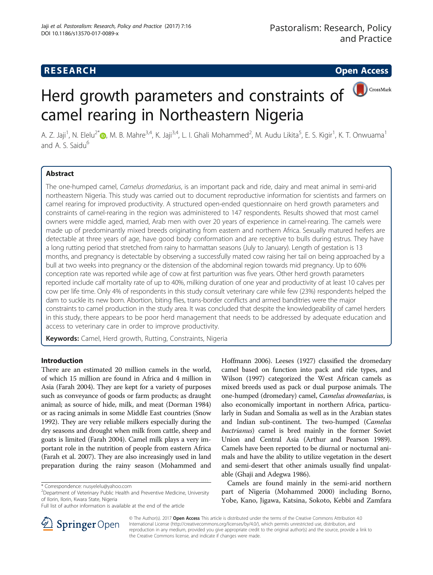# **RESEARCH CHE Open Access**

# Herd growth parameters and constraints of **D**CrossMark camel rearing in Northeastern Nigeria

A. Z. Jaji<sup>1</sup>, N. Elelu<sup>2[\\*](http://orcid.org/0000-0003-1255-4572)</sup>®, M. B. Mahre<sup>3,4</sup>, K. Jaji<sup>3,4</sup>, L. I. Ghali Mohammed<sup>2</sup>, M. Audu Likita<sup>5</sup>, E. S. Kigir<sup>1</sup>, K. T. Onwuama<sup>1</sup> and A. S. Saidu<sup>6</sup>

# Abstract

The one-humped camel, Camelus dromedarius, is an important pack and ride, dairy and meat animal in semi-arid northeastern Nigeria. This study was carried out to document reproductive information for scientists and farmers on camel rearing for improved productivity. A structured open-ended questionnaire on herd growth parameters and constraints of camel-rearing in the region was administered to 147 respondents. Results showed that most camel owners were middle aged, married, Arab men with over 20 years of experience in camel-rearing. The camels were made up of predominantly mixed breeds originating from eastern and northern Africa. Sexually matured heifers are detectable at three years of age, have good body conformation and are receptive to bulls during estrus. They have a long rutting period that stretched from rainy to harmattan seasons (July to January). Length of gestation is 13 months, and pregnancy is detectable by observing a successfully mated cow raising her tail on being approached by a bull at two weeks into pregnancy or the distension of the abdominal region towards mid pregnancy. Up to 60% conception rate was reported while age of cow at first parturition was five years. Other herd growth parameters reported include calf mortality rate of up to 40%, milking duration of one year and productivity of at least 10 calves per cow per life time. Only 4% of respondents in this study consult veterinary care while few (23%) respondents helped the dam to suckle its new born. Abortion, biting flies, trans-border conflicts and armed banditries were the major constraints to camel production in the study area. It was concluded that despite the knowledgeability of camel herders in this study, there appears to be poor herd management that needs to be addressed by adequate education and access to veterinary care in order to improve productivity.

**Keywords:** Camel, Herd growth, Rutting, Constraints, Nigeria

# Introduction

There are an estimated 20 million camels in the world, of which 15 million are found in Africa and 4 million in Asia (Farah [2004\)](#page-6-0). They are kept for a variety of purposes such as conveyance of goods or farm products; as draught animal; as source of hide, milk, and meat (Dorman 1984) or as racing animals in some Middle East countries (Snow [1992\)](#page-6-0). They are very reliable milkers especially during the dry seasons and drought when milk from cattle, sheep and goats is limited (Farah [2004](#page-6-0)). Camel milk plays a very important role in the nutrition of people from eastern Africa (Farah et al. [2007](#page-6-0)). They are also increasingly used in land preparation during the rainy season (Mohammed and

Hoffmann [2006](#page-6-0)). Leeses ([1927\)](#page-6-0) classified the dromedary camel based on function into pack and ride types, and Wilson ([1997\)](#page-6-0) categorized the West African camels as mixed breeds used as pack or dual purpose animals. The one-humped (dromedary) camel, Camelus dromedarius, is also economically important in northern Africa, particularly in Sudan and Somalia as well as in the Arabian states and Indian sub-continent. The two-humped (Camelus bactrianus) camel is bred mainly in the former Soviet Union and Central Asia (Arthur and Pearson [1989](#page-6-0)). Camels have been reported to be diurnal or nocturnal animals and have the ability to utilize vegetation in the desert and semi-desert that other animals usually find unpalatable (Ghaji and Adegwa [1986\)](#page-6-0).

Camels are found mainly in the semi-arid northern part of Nigeria (Mohammed [2000](#page-6-0)) including Borno, Yobe, Kano, Jigawa, Katsina, Sokoto, Kebbi and Zamfara



© The Author(s). 2017 Open Access This article is distributed under the terms of the Creative Commons Attribution 4.0 International License ([http://creativecommons.org/licenses/by/4.0/\)](http://creativecommons.org/licenses/by/4.0/), which permits unrestricted use, distribution, and reproduction in any medium, provided you give appropriate credit to the original author(s) and the source, provide a link to the Creative Commons license, and indicate if changes were made.

<sup>\*</sup> Correspondence: [nusyelelu@yahoo.com](mailto:nusyelelu@yahoo.com) <sup>2</sup>

<sup>&</sup>lt;sup>2</sup>Department of Veterinary Public Health and Preventive Medicine, University of Ilorin, Ilorin, Kwara State, Nigeria

Full list of author information is available at the end of the article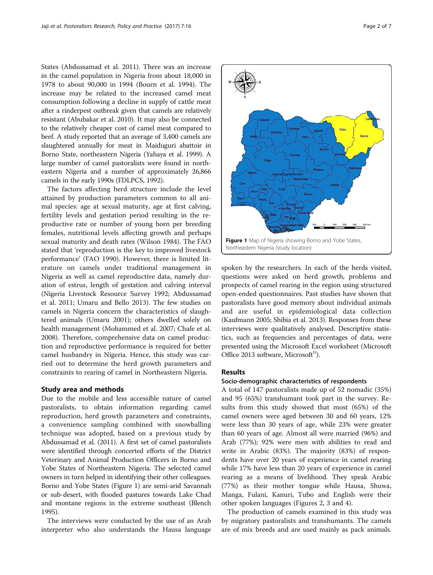States (Abdussamad et al. [2011\)](#page-5-0). There was an increase in the camel population in Nigeria from about 18,000 in 1978 to about 90,000 in 1994 (Bourn et al. [1994\)](#page-6-0). The increase may be related to the increased camel meat consumption following a decline in supply of cattle meat after a rinderpest outbreak given that camels are relatively resistant (Abubakar et al. [2010](#page-6-0)). It may also be connected to the relatively cheaper cost of camel meat compared to beef. A study reported that an average of 3,400 camels are slaughtered annually for meat in Maiduguri abattoir in Borno State, northeastern Nigeria (Yahaya et al. [1999\)](#page-6-0). A large number of camel pastoralists were found in northeastern Nigeria and a number of approximately 26,866 camels in the early 1990s (FDLPCS, [1992\)](#page-6-0).

The factors affecting herd structure include the level attained by production parameters common to all animal species: age at sexual maturity, age at first calving, fertility levels and gestation period resulting in the reproductive rate or number of young born per breeding females, nutritional levels affecting growth and perhaps sexual maturity and death rates (Wilson [1984\)](#page-6-0). The FAO stated that 'reproduction is the key to improved livestock performance' (FAO [1990](#page-6-0)). However, there is limited literature on camels under traditional management in Nigeria as well as camel reproductive data, namely duration of estrus, length of gestation and calving interval (Nigeria Livestock Resource Survey [1992](#page-6-0); Abdussamad et al. [2011](#page-5-0); Umaru and Bello [2013](#page-6-0)). The few studies on camels in Nigeria concern the characteristics of slaughtered animals (Umaru [2001](#page-6-0)); others dwelled solely on health management (Mohammed et al. [2007](#page-6-0); Chafe et al. [2008](#page-6-0)). Therefore, comprehensive data on camel production and reproductive performance is required for better camel husbandry in Nigeria. Hence, this study was carried out to determine the herd growth parameters and constraints to rearing of camel in Northeastern Nigeria.

# Study area and methods

Due to the mobile and less accessible nature of camel pastoralists, to obtain information regarding camel reproduction, herd growth parameters and constraints, a convenience sampling combined with snowballing technique was adopted, based on a previous study by Abdussamad et al. [\(2011](#page-5-0)). A first set of camel pastoralists were identified through concerted efforts of the District Veterinary and Animal Production Officers in Borno and Yobe States of Northeastern Nigeria. The selected camel owners in turn helped in identifying their other colleagues. Borno and Yobe States (Figure 1) are semi-arid Savannah or sub-desert, with flooded pastures towards Lake Chad and montane regions in the extreme southeast (Blench [1995\)](#page-6-0).

The interviews were conducted by the use of an Arab interpreter who also understands the Hausa language



spoken by the researchers. In each of the herds visited, questions were asked on herd growth, problems and prospects of camel rearing in the region using structured open-ended questionnaires. Past studies have shown that pastoralists have good memory about individual animals and are useful in epidemiological data collection (Kaufmann [2005;](#page-6-0) Shibia et al. [2013](#page-6-0)). Responses from these interviews were qualitatively analysed. Descriptive statistics, such as frequencies and percentages of data, were presented using the Microsoft Excel worksheet (Microsoft Office 2013 software, Microsoft<sup>®</sup>).

### Results

#### Socio-demographic characteristics of respondents

A total of 147 pastoralists made up of 52 nomadic (35%) and 95 (65%) transhumant took part in the survey. Results from this study showed that most (65%) of the camel owners were aged between 30 and 60 years, 12% were less than 30 years of age, while 23% were greater than 60 years of age. Almost all were married (96%) and Arab (77%); 92% were men with abilities to read and write in Arabic (83%). The majority (83%) of respondents have over 20 years of experience in camel rearing while 17% have less than 20 years of experience in camel rearing as a means of livelihood. They speak Arabic (77%) as their mother tongue while Hausa, Shuwa, Manga, Fulani, Kanuri, Tubo and English were their other spoken languages (Figures [2](#page-2-0), [3](#page-2-0) and [4](#page-2-0)).

The production of camels examined in this study was by migratory pastoralists and transhumants. The camels are of mix breeds and are used mainly as pack animals.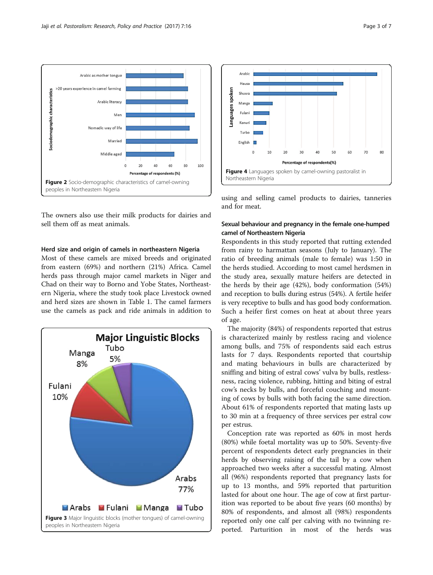<span id="page-2-0"></span>

The owners also use their milk products for dairies and sell them off as meat animals.

## Herd size and origin of camels in northeastern Nigeria

Most of these camels are mixed breeds and originated from eastern (69%) and northern (21%) Africa. Camel herds pass through major camel markets in Niger and Chad on their way to Borno and Yobe States, Northeastern Nigeria, where the study took place Livestock owned and herd sizes are shown in Table [1.](#page-3-0) The camel farmers use the camels as pack and ride animals in addition to





using and selling camel products to dairies, tanneries and for meat.

# Sexual behaviour and pregnancy in the female one-humped camel of Northeastern Nigeria

Respondents in this study reported that rutting extended from rainy to harmattan seasons (July to January). The ratio of breeding animals (male to female) was 1:50 in the herds studied. According to most camel herdsmen in the study area, sexually mature heifers are detected in the herds by their age (42%), body conformation (54%) and reception to bulls during estrus (54%). A fertile heifer is very receptive to bulls and has good body conformation. Such a heifer first comes on heat at about three years of age.

The majority (84%) of respondents reported that estrus is characterized mainly by restless racing and violence among bulls, and 75% of respondents said each estrus lasts for 7 days. Respondents reported that courtship and mating behaviours in bulls are characterized by sniffing and biting of estral cows' vulva by bulls, restlessness, racing violence, rubbing, hitting and biting of estral cow's necks by bulls, and forceful couching and mounting of cows by bulls with both facing the same direction. About 61% of respondents reported that mating lasts up to 30 min at a frequency of three services per estral cow per estrus.

Conception rate was reported as 60% in most herds (80%) while foetal mortality was up to 50%. Seventy-five percent of respondents detect early pregnancies in their herds by observing raising of the tail by a cow when approached two weeks after a successful mating. Almost all (96%) respondents reported that pregnancy lasts for up to 13 months, and 59% reported that parturition lasted for about one hour. The age of cow at first parturition was reported to be about five years (60 months) by 80% of respondents, and almost all (98%) respondents reported only one calf per calving with no twinning reported. Parturition in most of the herds was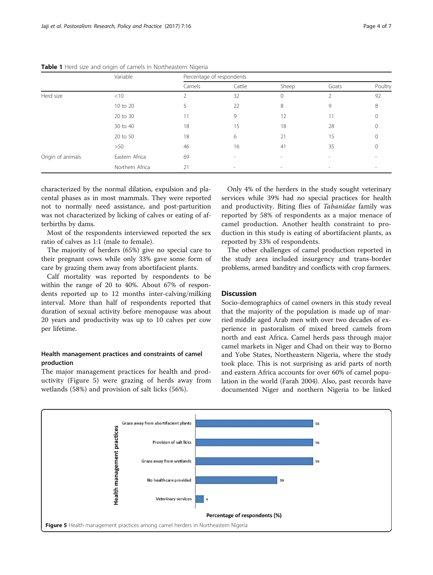|                   | Variable        | Percentage of respondents |                          |              |                          |         |
|-------------------|-----------------|---------------------------|--------------------------|--------------|--------------------------|---------|
|                   |                 | Camels                    | Cattle                   | Sheep        | Goats                    | Poultry |
| Herd size         | < 10            | $\mathfrak{D}$            | 32                       | $\mathbf{0}$ | $\mathfrak{D}$           | 92      |
|                   | 10 to 20        |                           | 22                       | 8            | 9                        | 8       |
|                   | 20 to 30        | 11                        | 9                        | 12           | 11                       |         |
|                   | 30 to 40        | 18                        | 15                       | 18           | 28                       |         |
|                   | 20 to 50        | 18                        | 6                        | 21           | 15                       |         |
|                   | >50             | 46                        | 16                       | 41           | 35                       |         |
| Origin of animals | Eastern Africa  | 69                        | $\overline{\phantom{a}}$ | $\sim$       | ۰                        |         |
|                   | Northern Africa | 21                        | $\sim$                   | $\sim$       | $\overline{\phantom{a}}$ |         |

<span id="page-3-0"></span>Table 1 Herd size and origin of camels in Northeastern Nigeria

characterized by the normal dilation, expulsion and placental phases as in most mammals. They were reported not to normally need assistance, and post-parturition was not characterized by licking of calves or eating of afterbirths by dams.

Most of the respondents interviewed reported the sex ratio of calves as 1:1 (male to female).

The majority of herders (65%) give no special care to their pregnant cows while only 33% gave some form of care by grazing them away from abortifacient plants.

Calf mortality was reported by respondents to be within the range of 20 to 40%. About 67% of respondents reported up to 12 months inter-calving/milking interval. More than half of respondents reported that duration of sexual activity before menopause was about 20 years and productivity was up to 10 calves per cow per lifetime.

# Health management practices and constraints of camel production

The major management practices for health and productivity (Figure 5) were grazing of herds away from wetlands (58%) and provision of salt licks (56%).

Only 4% of the herders in the study sought veterinary services while 39% had no special practices for health and productivity. Biting flies of Tabanidae family was reported by 58% of respondents as a major menace of camel production. Another health constraint to production in this study is eating of abortifacient plants, as reported by 33% of respondents.

The other challenges of camel production reported in the study area included insurgency and trans-border problems, armed banditry and conflicts with crop farmers.

# **Discussion**

Socio-demographics of camel owners in this study reveal that the majority of the population is made up of married middle aged Arab men with over two decades of experience in pastoralism of mixed breed camels from north and east Africa. Camel herds pass through major camel markets in Niger and Chad on their way to Borno and Yobe States, Northeastern Nigeria, where the study took place. This is not surprising as arid parts of north and eastern Africa accounts for over 60% of camel population in the world (Farah [2004](#page-6-0)). Also, past records have documented Niger and northern Nigeria to be linked

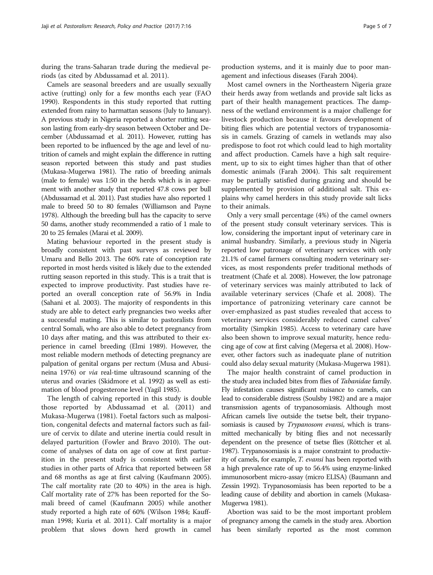during the trans-Saharan trade during the medieval periods (as cited by Abdussamad et al. [2011\)](#page-5-0).

Camels are seasonal breeders and are usually sexually active (rutting) only for a few months each year (FAO [1990](#page-6-0)). Respondents in this study reported that rutting extended from rainy to harmattan seasons (July to January). A previous study in Nigeria reported a shorter rutting season lasting from early-dry season between October and December (Abdussamad et al. [2011\)](#page-5-0). However, rutting has been reported to be influenced by the age and level of nutrition of camels and might explain the difference in rutting season reported between this study and past studies (Mukasa-Mugerwa [1981\)](#page-6-0). The ratio of breeding animals (male to female) was 1:50 in the herds which is in agreement with another study that reported 47.8 cows per bull (Abdussamad et al. [2011\)](#page-5-0). Past studies have also reported 1 male to breed 50 to 80 females (Williamson and Payne [1978\)](#page-6-0). Although the breeding bull has the capacity to serve 50 dams, another study recommended a ratio of 1 male to 20 to 25 females (Marai et al. [2009\)](#page-6-0).

Mating behaviour reported in the present study is broadly consistent with past surveys as reviewed by Umaru and Bello [2013.](#page-6-0) The 60% rate of conception rate reported in most herds visited is likely due to the extended rutting season reported in this study. This is a trait that is expected to improve productivity. Past studies have reported an overall conception rate of 56.9% in India (Sahani et al. [2003\)](#page-6-0). The majority of respondents in this study are able to detect early pregnancies two weeks after a successful mating. This is similar to pastoralists from central Somali, who are also able to detect pregnancy from 10 days after mating, and this was attributed to their experience in camel breeding (Elmi [1989\)](#page-6-0). However, the most reliable modern methods of detecting pregnancy are palpation of genital organs per rectum (Musa and Abusineina [1976\)](#page-6-0) or via real-time ultrasound scanning of the uterus and ovaries (Skidmore et al. [1992](#page-6-0)) as well as estimation of blood progesterone level (Yagil [1985](#page-6-0)).

The length of calving reported in this study is double those reported by Abdussamad et al. [\(2011](#page-5-0)) and Mukasa-Mugerwa ([1981](#page-6-0)). Foetal factors such as malposition, congenital defects and maternal factors such as failure of cervix to dilate and uterine inertia could result in delayed parturition (Fowler and Bravo [2010](#page-6-0)). The outcome of analyses of data on age of cow at first parturition in the present study is consistent with earlier studies in other parts of Africa that reported between 58 and 68 months as age at first calving (Kaufmann [2005](#page-6-0)). The calf mortality rate (20 to 40%) in the area is high. Calf mortality rate of 27% has been reported for the Somali breed of camel (Kaufmann [2005\)](#page-6-0) while another study reported a high rate of 60% (Wilson [1984;](#page-6-0) Kauffman [1998](#page-6-0); Kuria et al. [2011](#page-6-0)). Calf mortality is a major problem that slows down herd growth in camel

production systems, and it is mainly due to poor management and infectious diseases (Farah [2004\)](#page-6-0).

Most camel owners in the Northeastern Nigeria graze their herds away from wetlands and provide salt licks as part of their health management practices. The dampness of the wetland environment is a major challenge for livestock production because it favours development of biting flies which are potential vectors of trypanosomiasis in camels. Grazing of camels in wetlands may also predispose to foot rot which could lead to high mortality and affect production. Camels have a high salt requirement, up to six to eight times higher than that of other domestic animals (Farah [2004\)](#page-6-0). This salt requirement may be partially satisfied during grazing and should be supplemented by provision of additional salt. This explains why camel herders in this study provide salt licks to their animals.

Only a very small percentage (4%) of the camel owners of the present study consult veterinary services. This is low, considering the important input of veterinary care in animal husbandry. Similarly, a previous study in Nigeria reported low patronage of veterinary services with only 21.1% of camel farmers consulting modern veterinary services, as most respondents prefer traditional methods of treatment (Chafe et al. [2008\)](#page-6-0). However, the low patronage of veterinary services was mainly attributed to lack of available veterinary services (Chafe et al. [2008](#page-6-0)). The importance of patronizing veterinary care cannot be over-emphasized as past studies revealed that access to veterinary services considerably reduced camel calves' mortality (Simpkin [1985](#page-6-0)). Access to veterinary care have also been shown to improve sexual maturity, hence reducing age of cow at first calving (Megersa et al. [2008](#page-6-0)). However, other factors such as inadequate plane of nutrition could also delay sexual maturity (Mukasa-Mugerwa [1981](#page-6-0)).

The major health constraint of camel production in the study area included bites from flies of Tabanidae family. Fly infestation causes significant nuisance to camels, can lead to considerable distress (Soulsby [1982](#page-6-0)) and are a major transmission agents of trypanosomiasis. Although most African camels live outside the tsetse belt, their trypanosomiasis is caused by *Trypanosom evansi*, which is transmitted mechanically by biting flies and not necessarily dependent on the presence of tsetse flies (Röttcher et al. [1987\)](#page-6-0). Trypanosomiasis is a major constraint to productivity of camels, for example, T. evansi has been reported with a high prevalence rate of up to 56.4% using enzyme-linked immunosorbent micro-assay (micro ELISA) (Baumann and Zessin [1992\)](#page-6-0). Trypanosomiasis has been reported to be a leading cause of debility and abortion in camels (Mukasa-Mugerwa [1981](#page-6-0)).

Abortion was said to be the most important problem of pregnancy among the camels in the study area. Abortion has been similarly reported as the most common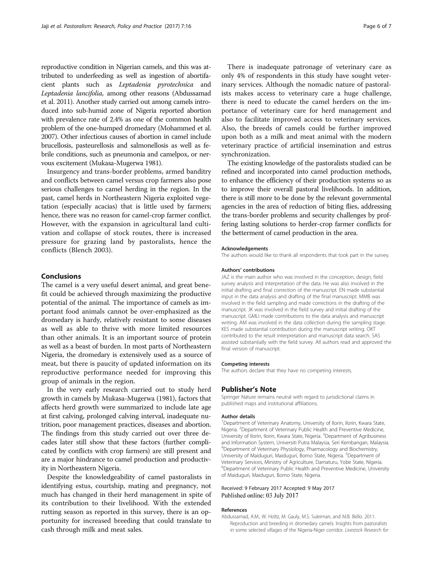<span id="page-5-0"></span>reproductive condition in Nigerian camels, and this was attributed to underfeeding as well as ingestion of abortifacient plants such as Leptadenia pyrotechnica and Leptadenia lancifolia, among other reasons (Abdussamad et al. 2011). Another study carried out among camels introduced into sub-humid zone of Nigeria reported abortion with prevalence rate of 2.4% as one of the common health problem of the one-humped dromedary (Mohammed et al. [2007\)](#page-6-0). Other infectious causes of abortion in camel include brucellosis, pasteurellosis and salmonellosis as well as febrile conditions, such as pneumonia and camelpox, or nervous excitement (Mukasa-Mugerwa [1981\)](#page-6-0).

Insurgency and trans-border problems, armed banditry and conflicts between camel versus crop farmers also pose serious challenges to camel herding in the region. In the past, camel herds in Northeastern Nigeria exploited vegetation (especially acacias) that is little used by farmers; hence, there was no reason for camel-crop farmer conflict. However, with the expansion in agricultural land cultivation and collapse of stock routes, there is increased pressure for grazing land by pastoralists, hence the conflicts (Blench [2003\)](#page-6-0).

## Conclusions

The camel is a very useful desert animal, and great benefit could be achieved through maximizing the productive potential of the animal. The importance of camels as important food animals cannot be over-emphasized as the dromedary is hardy, relatively resistant to some diseases as well as able to thrive with more limited resources than other animals. It is an important source of protein as well as a beast of burden. In most parts of Northeastern Nigeria, the dromedary is extensively used as a source of meat, but there is paucity of updated information on its reproductive performance needed for improving this group of animals in the region.

In the very early research carried out to study herd growth in camels by Mukasa-Mugerwa [\(1981\)](#page-6-0), factors that affects herd growth were summarized to include late age at first calving, prolonged calving interval, inadequate nutrition, poor management practices, diseases and abortion. The findings from this study carried out over three decades later still show that these factors (further complicated by conflicts with crop farmers) are still present and are a major hindrance to camel production and productivity in Northeastern Nigeria.

Despite the knowledgeability of camel pastoralists in identifying estus, courtship, mating and pregnancy, not much has changed in their herd management in spite of its contribution to their livelihood. With the extended rutting season as reported in this survey, there is an opportunity for increased breeding that could translate to cash through milk and meat sales.

There is inadequate patronage of veterinary care as only 4% of respondents in this study have sought veterinary services. Although the nomadic nature of pastoralists makes access to veterinary care a huge challenge, there is need to educate the camel herders on the importance of veterinary care for herd management and also to facilitate improved access to veterinary services. Also, the breeds of camels could be further improved upon both as a milk and meat animal with the modern veterinary practice of artificial insemination and estrus synchronization.

The existing knowledge of the pastoralists studied can be refined and incorporated into camel production methods, to enhance the efficiency of their production systems so as to improve their overall pastoral livelihoods. In addition, there is still more to be done by the relevant governmental agencies in the area of reduction of biting flies, addressing the trans-border problems and security challenges by proffering lasting solutions to herder-crop farmer conflicts for the betterment of camel production in the area.

#### Acknowledgements

The authors would like to thank all respondents that took part in the survey.

#### Authors' contributions

JAZ is the main author who was involved in the conception, design, field survey analysis and interpretation of the data. He was also involved in the initial drafting and final correction of the manuscript. EN made substantial input in the data analysis and drafting of the final manuscript. MMB was involved in the field sampling and made corrections in the drafting of the manuscript. JK was involved in the field survey and initial drafting of the manuscript. GMLI made contributions to the data analysis and manuscript writing. AM was involved in the data collection during the sampling stage. KES made substantial contribution during the manuscript writing. OKT contributed to the result interpretation and manuscript data search. SAS assisted substantially with the field survey. All authors read and approved the final version of manuscript.

#### Competing interests

The authors declare that they have no competing interests.

#### Publisher's Note

Springer Nature remains neutral with regard to jurisdictional claims in published maps and institutional affiliations.

#### Author details

<sup>1</sup>Department of Veterinary Anatomy, University of Ilorin, Ilorin, Kwara State Nigeria. <sup>2</sup>Department of Veterinary Public Health and Preventive Medicine University of Ilorin, Ilorin, Kwara State, Nigeria. <sup>3</sup>Department of Agribusiness and Information System, Universiti Putra Malaysia, Seri Kembangan, Malaysia. 4 Department of Veterinary Physiology, Pharmacology and Biochemistry, University of Maiduguri, Maiduguri, Borno State, Nigeria. <sup>5</sup>Department of Veterinary Services, Ministry of Agriculture, Damaturu, Yobe State, Nigeria. 6 Department of Veterinary Public Health and Preventive Medicine, University of Maiduguri, Maiduguri, Borno State, Nigeria.

#### Received: 9 February 2017 Accepted: 9 May 2017 Published online: 03 July 2017

#### References

Abdussamad, A.M., W. Holtz, M. Gauly, M.S. Suleiman, and M.B. Bello. 2011. Reproduction and breeding in dromedary camels: Insights from pastoralists in some selected villages of the Nigeria-Niger corridor. Livestock Research for